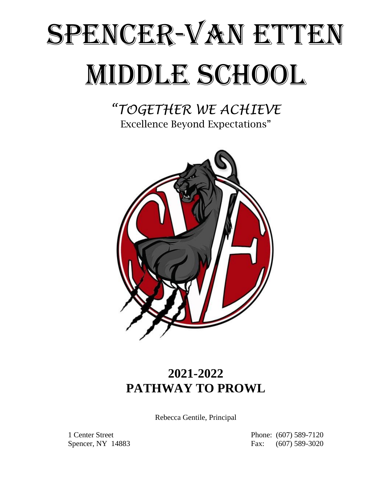# SPENCER-VAN ETTEN MIDDLE SCHOOL

*"TOGETHER WE ACHIEVE* Excellence Beyond Expectations"



# **2021-2022 PATHWAY TO PROWL**

Rebecca Gentile, Principal

1 Center Street Phone: (607) 589-7120 Spencer, NY 14883 Fax: (607) 589-3020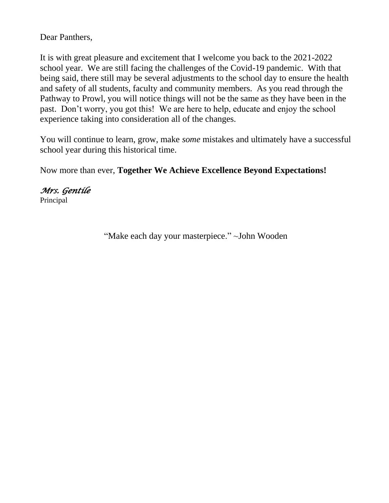Dear Panthers,

It is with great pleasure and excitement that I welcome you back to the 2021-2022 school year. We are still facing the challenges of the Covid-19 pandemic. With that being said, there still may be several adjustments to the school day to ensure the health and safety of all students, faculty and community members. As you read through the Pathway to Prowl, you will notice things will not be the same as they have been in the past. Don't worry, you got this! We are here to help, educate and enjoy the school experience taking into consideration all of the changes.

You will continue to learn, grow, make *some* mistakes and ultimately have a successful school year during this historical time.

Now more than ever, **Together We Achieve Excellence Beyond Expectations!**

*Mrs. Gentile*  Principal

"Make each day your masterpiece." ~John Wooden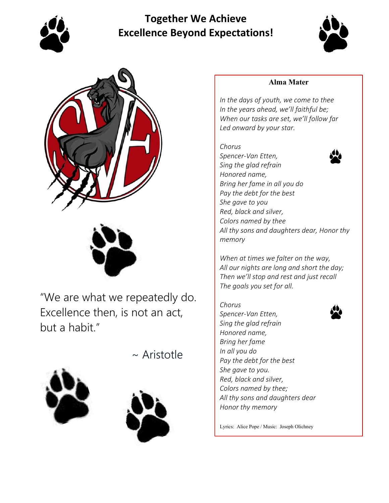

# **Together We Achieve Excellence Beyond Expectations!**







"We are what we repeatedly do. Excellence then, is not an act, but a habit."

~ Aristotle





#### **Alma Mater**

*In the days of youth, we come to thee In the years ahead, we'll faithful be; When our tasks are set, we'll follow far Led onward by your star.*

## *Chorus*



*Spencer-Van Etten, Sing the glad refrain Honored name, Bring her fame in all you do Pay the debt for the best She gave to you Red, black and silver, Colors named by thee All thy sons and daughters dear, Honor thy memory*

*When at times we falter on the way, All our nights are long and short the day; Then we'll stop and rest and just recall The goals you set for all.*

*Chorus Spencer-Van Etten, Sing the glad refrain Honored name, Bring her fame In all you do Pay the debt for the best She gave to you. Red, black and silver, Colors named by thee; All thy sons and daughters dear Honor thy memory*

Lyrics: Alice Pope / Music: Joseph Olichney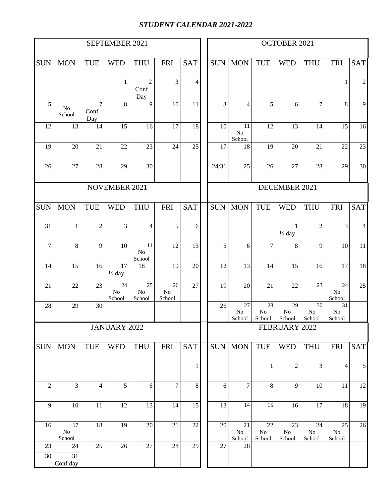#### *STUDENT CALENDAR 2021-2022*

|                |                    |                               | SEPTEMBER 2021                 |                                 |                                       |                 | OCTOBER 2021 |               |                                 |                    |                                   |                                 |                                 |                |
|----------------|--------------------|-------------------------------|--------------------------------|---------------------------------|---------------------------------------|-----------------|--------------|---------------|---------------------------------|--------------------|-----------------------------------|---------------------------------|---------------------------------|----------------|
| <b>SUN</b>     | <b>MON</b>         | <b>TUE</b>                    | <b>WED</b>                     | <b>THU</b>                      | <b>FRI</b>                            | <b>SAT</b>      |              | <b>SUN</b>    | <b>MON</b>                      | <b>TUE</b>         | <b>WED</b>                        | <b>THU</b>                      | <b>FRI</b>                      | <b>SAT</b>     |
|                |                    |                               | $\mathbf{1}$                   | $\overline{c}$<br>Conf<br>Day   | 3                                     | 4               |              |               |                                 |                    |                                   |                                 | 1                               | $\sqrt{2}$     |
| 5              | $\rm No$<br>School | $\overline{7}$<br>Conf<br>Day | 8                              | $\overline{9}$                  | 10                                    | 11              |              | 3             | $\overline{4}$                  | $\overline{5}$     | 6                                 | $\tau$                          | 8                               | 9              |
| 12             | 13                 | 14                            | 15                             | 16                              | 17                                    | 18              |              | 10            | 11<br>N <sub>o</sub><br>School  | 12                 | 13                                | 14                              | 15                              | 16             |
| 19             | 20                 | 21                            | 22                             | 23                              | 24                                    | 25              |              | 17            | 18                              | 19                 | 20                                | 21                              | 22                              | 23             |
| 26             | 27                 | 28                            | 29                             | 30                              |                                       |                 |              | 24/31         | 25                              | 26                 | 27                                | 28                              | 29                              | 30             |
|                |                    |                               | NOVEMBER 2021                  |                                 |                                       |                 |              |               |                                 |                    | DECEMBER 2021                     |                                 |                                 |                |
| <b>SUN</b>     | <b>MON</b>         | <b>TUE</b>                    | <b>WED</b>                     | <b>THU</b>                      | <b>FRI</b>                            | <b>SAT</b>      |              | <b>SUN</b>    | <b>MON</b>                      | <b>TUE</b>         | <b>WED</b>                        | <b>THU</b>                      | <b>FRI</b>                      | <b>SAT</b>     |
| 31             | $\mathbf{1}$       | $\overline{c}$                | 3                              | 4                               | 5                                     | 6               |              |               |                                 |                    | $\mathbf{1}$<br>$\frac{1}{2}$ day | $\overline{2}$                  | 3                               | $\overline{4}$ |
| $\overline{7}$ | 8                  | 9                             | 10                             | $11\,$<br>$\rm No$<br>School    | 12                                    | $\overline{13}$ |              | 5             | 6                               | $\overline{7}$     | 8                                 | 9                               | 10                              | 11             |
| 14             | 15                 | 16                            | 17<br>$\frac{1}{2}$ day        | 18                              | 19                                    | 20              |              | 12            | 13                              | 14                 | 15                                | 16                              | 17                              | 18             |
| 21             | 22                 | 23                            | 24<br>N <sub>o</sub><br>School | $\overline{25}$<br>No<br>School | $\overline{26}$<br>$\rm No$<br>School | 27              |              | 19            | 20                              | 21                 | 22                                | 23                              | 24<br>$\rm No$<br>School        | 25             |
| 28             | 29                 | 30                            |                                |                                 |                                       |                 |              | 26            | $\overline{27}$<br>No<br>School | 28<br>No<br>School | 29<br>No<br>School                | $\overline{30}$<br>No<br>School | $\overline{31}$<br>No<br>School |                |
|                |                    |                               | JANUARY 2022                   |                                 |                                       |                 |              | FEBRUARY 2022 |                                 |                    |                                   |                                 |                                 |                |
| <b>SUN</b>     | <b>MON</b>         | <b>TUE</b>                    | <b>WED</b>                     | <b>THU</b>                      | FRI                                   | <b>SAT</b>      |              |               | <b>SUN</b> MON                  | TUE                | <b>WED</b>                        | <b>THU</b>                      | <b>FRI</b>                      | <b>SAT</b>     |
|                |                    |                               |                                |                                 |                                       | 1               |              |               |                                 | $\mathbf{1}$       | $\overline{2}$                    | 3                               | 4                               | 5 <sup>1</sup> |
| $\mathfrak{2}$ | 3                  | 4                             | 5                              | 6                               | $\tau$                                | 8               |              | 6             | $\tau$                          | 8                  | 9                                 | 10                              | 11                              | 12             |
| 9              | 10                 | 11                            | 12                             | 13                              | 14                                    | 15              |              | 13            | 14                              | 15                 | 16                                | 17                              | 18                              | 19             |
| 16             | 17<br>$\rm No$     | 18                            | 19                             | $20\,$                          | 21                                    | 22              |              | 20            | 21<br>$\rm No$                  | 22<br>$\rm No$     | 23<br>$\rm No$                    | 24<br>No                        | 25<br>$\rm No$                  | 26             |
| 23<br>30       | School<br>24<br>31 | $\overline{25}$               | 26                             | 27                              | $\overline{28}$                       | 29              |              | 27            | School<br>28                    | School             | School                            | School                          | School                          |                |
|                | Conf day           |                               |                                |                                 |                                       |                 |              |               |                                 |                    |                                   |                                 |                                 |                |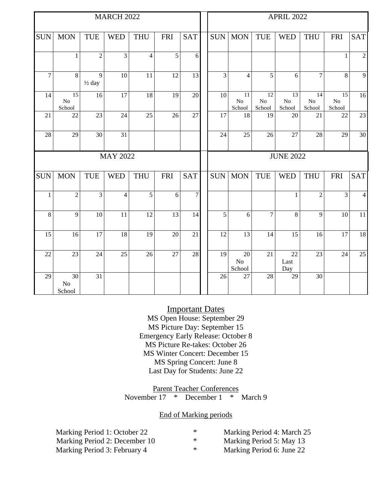| <b>MARCH 2022</b> |                                       |                                     |                 |                |                 | <b>APRIL 2022</b> |                  |                          |                                |                          |                          |                                       |                 |
|-------------------|---------------------------------------|-------------------------------------|-----------------|----------------|-----------------|-------------------|------------------|--------------------------|--------------------------------|--------------------------|--------------------------|---------------------------------------|-----------------|
| <b>SUN</b>        | <b>MON</b>                            | <b>TUE</b>                          | <b>WED</b>      | <b>THU</b>     | <b>FRI</b>      | <b>SAT</b>        | <b>SUN</b>       | <b>MON</b>               | <b>TUE</b>                     | <b>WED</b>               | <b>THU</b>               | <b>FRI</b>                            | <b>SAT</b>      |
|                   | $\mathbf{1}$                          | $\overline{2}$                      | 3               | $\overline{4}$ | 5               | 6                 |                  |                          |                                |                          |                          | $\mathbf{1}$                          | $\mathfrak{2}$  |
| $\overline{7}$    | 8                                     | $\overline{9}$<br>$\frac{1}{2}$ day | 10              | 11             | 12              | 13                | 3                | $\overline{4}$           | 5                              | 6                        | $\overline{7}$           | 8                                     | 9               |
| 14                | $\overline{15}$<br>$\rm No$<br>School | 16                                  | 17              | 18             | 19              | 20                | 10               | 11<br>$\rm No$<br>School | 12<br>N <sub>o</sub><br>School | 13<br>$\rm No$<br>School | 14<br>$\rm No$<br>School | $\overline{15}$<br>$\rm No$<br>School | 16              |
| 21                | 22                                    | 23                                  | 24              | 25             | 26              | 27                | 17               | 18                       | 19                             | 20                       | 21                       | 22                                    | 23              |
| 28                | 29                                    | 30                                  | 31              |                |                 |                   | 24               | 25                       | 26                             | 27                       | 28                       | 29                                    | 30              |
|                   |                                       |                                     | <b>MAY 2022</b> |                |                 |                   | <b>JUNE 2022</b> |                          |                                |                          |                          |                                       |                 |
| <b>SUN</b>        | <b>MON</b>                            | <b>TUE</b>                          | <b>WED</b>      | <b>THU</b>     | <b>FRI</b>      | <b>SAT</b>        | <b>SUN</b>       | <b>MON</b>               | <b>TUE</b>                     | <b>WED</b>               | <b>THU</b>               | <b>FRI</b>                            | <b>SAT</b>      |
| $\mathbf{1}$      | $\overline{2}$                        | $\overline{3}$                      | 4               | $\overline{5}$ | 6               | $\tau$            |                  |                          |                                | $\mathbf{1}$             | $\overline{2}$           | 3                                     | $\overline{4}$  |
| 8                 | $\overline{9}$                        | $\overline{10}$                     | 11              | 12             | $\overline{13}$ | $\overline{14}$   | 5                | 6                        | $\overline{7}$                 | 8                        | $\overline{9}$           | $\overline{10}$                       | $\overline{11}$ |
| 15                | 16                                    | 17                                  | 18              | 19             | 20              | 21                | 12               | 13                       | 14                             | 15                       | 16                       | 17                                    | 18              |
| 22                | 23                                    | 24                                  | 25              | 26             | 27              | 28                | 19               | 20<br>$\rm No$<br>School | 21                             | 22<br>Last<br>Day        | 23                       | 24                                    | 25              |
| 29                | 30<br>N <sub>o</sub><br>School        | $\overline{31}$                     |                 |                |                 |                   | 26               | 27                       | 28                             | $\overline{29}$          | $\overline{30}$          |                                       |                 |

#### Important Dates

MS Open House: September 29 MS Picture Day: September 15 Emergency Early Release: October 8 MS Picture Re-takes: October 26 MS Winter Concert: December 15 MS Spring Concert: June 8 Last Day for Students: June 22

Parent Teacher Conferences November  $17 \times$  December  $1 \times$  March 9

#### End of Marking periods

| Marking Period 1: October 22  | $\ast$ | Marking Period 4: March 25 |
|-------------------------------|--------|----------------------------|
| Marking Period 2: December 10 | * ∴    | Marking Period 5: May 13   |
| Marking Period 3: February 4  | *      | Marking Period 6: June 22  |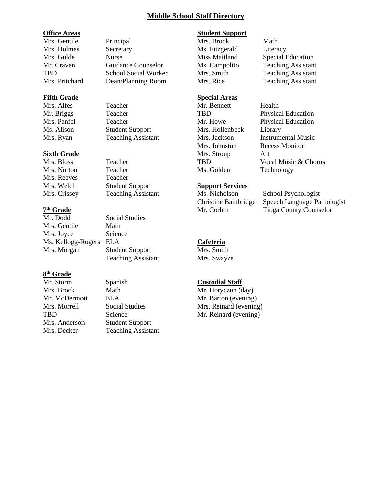#### **Middle School Staff Directory**

#### **Office Areas**

Mrs. Gentile Principal Mrs. Holmes Secretary Mrs. Gulde Nurse Mr. Craven Guidance Counselor TBD School Social Worker Mrs. Pritchard Dean/Planning Room

#### **Fifth Grade**

Mrs. Alfes Teacher Mr. Briggs Teacher Mrs. Panfel Teacher Ms. Alison Student Support Mrs. Ryan Teaching Assistant

#### **Sixth Grade**

Mrs. Bloss Teacher Mrs. Norton Teacher Mrs. Reeves Teacher Mrs. Welch Student Support Mrs. Crissey Teaching Assistant

#### **7 th Grade**

Mr. Dodd Social Studies Mrs. Gentile Math Mrs. Joyce Science Ms. Kellogg-Rogers ELA Mrs. Morgan Student Support

#### **8 th Grade**

Mr. Storm Spanish Mrs. Brock Math Mr. McDermott ELA Mrs. Morrell Social Studies TBD Science Mrs. Anderson Student Support Mrs. Decker Teaching Assistant

Teaching Assistant

### **Student Support**

Mrs. Brock Math Ms. Fitzgerald Literacy

#### **Special Areas** Mr. Bennett Health

Mrs. Hollenbeck Library Mrs. Johnston Recess Monitor Mrs. Stroup Art Ms. Golden Technology

#### **Support Services**

Ms. Nicholson School Psychologist Christine Bainbridge Speech Language Pathologist Mr. Corbin Tioga County Counselor

#### **Cafeteria**

Mrs. Smith Mrs. Swayze

#### **Custodial Staff**

Mr. Horyczun (day) Mr. Barton (evening) Mrs. Reinard (evening) Mr. Reinard (evening)

Miss Maitland Special Education Ms. Campolito Teaching Assistant Mrs. Smith Teaching Assistant Mrs. Rice Teaching Assistant

TBD Physical Education Mr. Howe Physical Education Mrs. Jackson Instrumental Music TBD Vocal Music & Chorus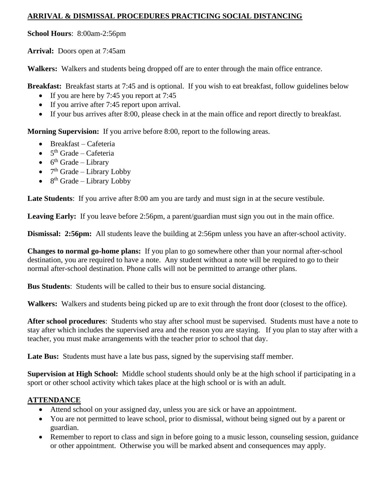#### **ARRIVAL & DISMISSAL PROCEDURES PRACTICING SOCIAL DISTANCING**

**School Hours**: 8:00am-2:56pm

**Arrival:** Doors open at 7:45am

**Walkers:** Walkers and students being dropped off are to enter through the main office entrance.

**Breakfast:** Breakfast starts at 7:45 and is optional. If you wish to eat breakfast, follow guidelines below

- If you are here by 7:45 you report at 7:45
- If you arrive after 7:45 report upon arrival.
- If your bus arrives after 8:00, please check in at the main office and report directly to breakfast.

**Morning Supervision:** If you arrive before 8:00, report to the following areas.

- Breakfast Cafeteria
- $5<sup>th</sup>$  Grade Cafeteria
- $6^{\text{th}}$  Grade Library
- $7<sup>th</sup>$  Grade Library Lobby
- $\bullet$  8<sup>th</sup> Grade Library Lobby

Late Students: If you arrive after 8:00 am you are tardy and must sign in at the secure vestibule.

Leaving Early: If you leave before 2:56pm, a parent/guardian must sign you out in the main office.

**Dismissal: 2:56pm:** All students leave the building at 2:56pm unless you have an after-school activity.

**Changes to normal go-home plans:** If you plan to go somewhere other than your normal after-school destination, you are required to have a note. Any student without a note will be required to go to their normal after-school destination. Phone calls will not be permitted to arrange other plans.

**Bus Students**: Students will be called to their bus to ensure social distancing.

**Walkers:** Walkers and students being picked up are to exit through the front door (closest to the office).

**After school procedures**: Students who stay after school must be supervised. Students must have a note to stay after which includes the supervised area and the reason you are staying. If you plan to stay after with a teacher, you must make arrangements with the teacher prior to school that day.

Late Bus: Students must have a late bus pass, signed by the supervising staff member.

**Supervision at High School:** Middle school students should only be at the high school if participating in a sport or other school activity which takes place at the high school or is with an adult.

#### **ATTENDANCE**

- Attend school on your assigned day, unless you are sick or have an appointment.
- You are not permitted to leave school, prior to dismissal, without being signed out by a parent or guardian.
- Remember to report to class and sign in before going to a music lesson, counseling session, guidance or other appointment. Otherwise you will be marked absent and consequences may apply.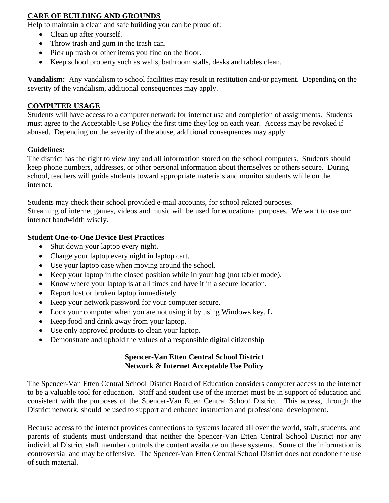#### **CARE OF BUILDING AND GROUNDS**

Help to maintain a clean and safe building you can be proud of:

- Clean up after yourself.
- Throw trash and gum in the trash can.
- Pick up trash or other items you find on the floor.
- Keep school property such as walls, bathroom stalls, desks and tables clean.

**Vandalism:** Any vandalism to school facilities may result in restitution and/or payment. Depending on the severity of the vandalism, additional consequences may apply.

#### **COMPUTER USAGE**

Students will have access to a computer network for internet use and completion of assignments. Students must agree to the Acceptable Use Policy the first time they log on each year. Access may be revoked if abused. Depending on the severity of the abuse, additional consequences may apply.

#### **Guidelines:**

The district has the right to view any and all information stored on the school computers. Students should keep phone numbers, addresses, or other personal information about themselves or others secure. During school, teachers will guide students toward appropriate materials and monitor students while on the internet.

Students may check their school provided e-mail accounts, for school related purposes. Streaming of internet games, videos and music will be used for educational purposes. We want to use our internet bandwidth wisely.

#### **Student One-to-One Device Best Practices**

- Shut down your laptop every night.
- Charge your laptop every night in laptop cart.
- Use your laptop case when moving around the school.
- Keep your laptop in the closed position while in your bag (not tablet mode).
- Know where your laptop is at all times and have it in a secure location.
- Report lost or broken laptop immediately.
- Keep your network password for your computer secure.
- Lock your computer when you are not using it by using Windows key, L.
- Keep food and drink away from your laptop.
- Use only approved products to clean your laptop.
- Demonstrate and uphold the values of a responsible digital citizenship

#### **Spencer-Van Etten Central School District Network & Internet Acceptable Use Policy**

The Spencer-Van Etten Central School District Board of Education considers computer access to the internet to be a valuable tool for education. Staff and student use of the internet must be in support of education and consistent with the purposes of the Spencer-Van Etten Central School District. This access, through the District network, should be used to support and enhance instruction and professional development.

Because access to the internet provides connections to systems located all over the world, staff, students, and parents of students must understand that neither the Spencer-Van Etten Central School District nor any individual District staff member controls the content available on these systems. Some of the information is controversial and may be offensive. The Spencer-Van Etten Central School District does not condone the use of such material.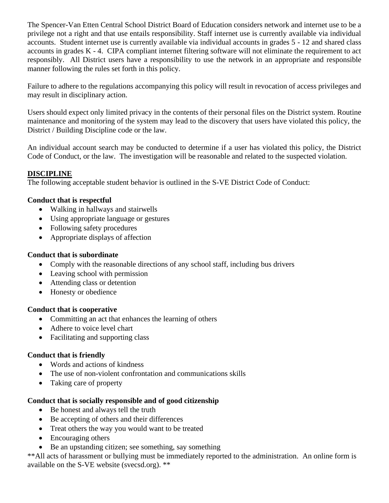The Spencer-Van Etten Central School District Board of Education considers network and internet use to be a privilege not a right and that use entails responsibility. Staff internet use is currently available via individual accounts. Student internet use is currently available via individual accounts in grades 5 - 12 and shared class accounts in grades K - 4. CIPA compliant internet filtering software will not eliminate the requirement to act responsibly. All District users have a responsibility to use the network in an appropriate and responsible manner following the rules set forth in this policy.

Failure to adhere to the regulations accompanying this policy will result in revocation of access privileges and may result in disciplinary action.

Users should expect only limited privacy in the contents of their personal files on the District system. Routine maintenance and monitoring of the system may lead to the discovery that users have violated this policy, the District / Building Discipline code or the law.

An individual account search may be conducted to determine if a user has violated this policy, the District Code of Conduct, or the law. The investigation will be reasonable and related to the suspected violation.

#### **DISCIPLINE**

The following acceptable student behavior is outlined in the S-VE District Code of Conduct:

#### **Conduct that is respectful**

- Walking in hallways and stairwells
- Using appropriate language or gestures
- Following safety procedures
- Appropriate displays of affection

#### **Conduct that is subordinate**

- Comply with the reasonable directions of any school staff, including bus drivers
- Leaving school with permission
- Attending class or detention
- Honesty or obedience

#### **Conduct that is cooperative**

- Committing an act that enhances the learning of others
- Adhere to voice level chart
- Facilitating and supporting class

#### **Conduct that is friendly**

- Words and actions of kindness
- The use of non-violent confrontation and communications skills
- Taking care of property

#### **Conduct that is socially responsible and of good citizenship**

- Be honest and always tell the truth
- Be accepting of others and their differences
- Treat others the way you would want to be treated
- Encouraging others
- Be an upstanding citizen; see something, say something

\*\*All acts of harassment or bullying must be immediately reported to the administration. An online form is available on the S-VE website (svecsd.org). \*\*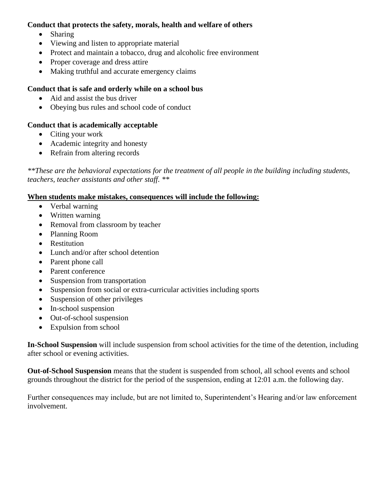#### **Conduct that protects the safety, morals, health and welfare of others**

- Sharing
- Viewing and listen to appropriate material
- Protect and maintain a tobacco, drug and alcoholic free environment
- Proper coverage and dress attire
- Making truthful and accurate emergency claims

#### **Conduct that is safe and orderly while on a school bus**

- Aid and assist the bus driver
- Obeying bus rules and school code of conduct

#### **Conduct that is academically acceptable**

- Citing your work
- Academic integrity and honesty
- Refrain from altering records

*\*\*These are the behavioral expectations for the treatment of all people in the building including students, teachers, teacher assistants and other staff. \*\** 

#### **When students make mistakes, consequences will include the following:**

- Verbal warning
- Written warning
- Removal from classroom by teacher
- Planning Room
- Restitution
- Lunch and/or after school detention
- Parent phone call
- Parent conference
- Suspension from transportation
- Suspension from social or extra-curricular activities including sports
- Suspension of other privileges
- In-school suspension
- Out-of-school suspension
- Expulsion from school

**In-School Suspension** will include suspension from school activities for the time of the detention, including after school or evening activities.

**Out-of-School Suspension** means that the student is suspended from school, all school events and school grounds throughout the district for the period of the suspension, ending at 12:01 a.m. the following day.

Further consequences may include, but are not limited to, Superintendent's Hearing and/or law enforcement involvement.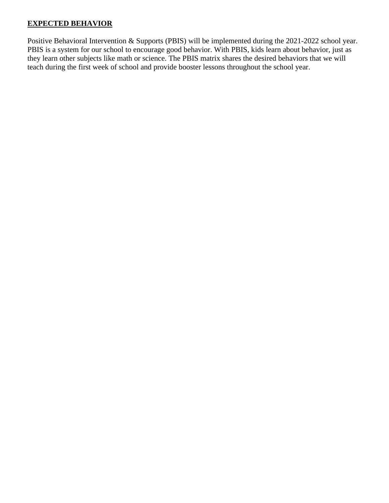#### **EXPECTED BEHAVIOR**

Positive Behavioral Intervention & Supports (PBIS) will be implemented during the 2021-2022 school year. PBIS is a system for our school to encourage good behavior. With PBIS, kids learn about behavior, just as they learn other subjects like math or science. The PBIS matrix shares the desired behaviors that we will teach during the first week of school and provide booster lessons throughout the school year.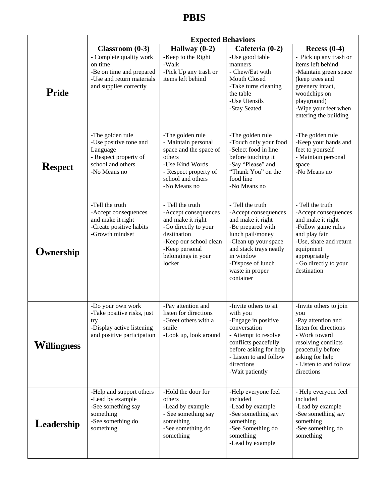# **PBIS**

|                    | <b>Expected Behaviors</b>                                                                                             |                                                                                                                                                                                  |                                                                                                                                                                                                                            |                                                                                                                                                                                                      |  |  |  |  |
|--------------------|-----------------------------------------------------------------------------------------------------------------------|----------------------------------------------------------------------------------------------------------------------------------------------------------------------------------|----------------------------------------------------------------------------------------------------------------------------------------------------------------------------------------------------------------------------|------------------------------------------------------------------------------------------------------------------------------------------------------------------------------------------------------|--|--|--|--|
|                    | $Classroom(0-3)$                                                                                                      | Hallway $(0-2)$                                                                                                                                                                  | Cafeteria (0-2)                                                                                                                                                                                                            | Recess $(0-4)$                                                                                                                                                                                       |  |  |  |  |
| Pride              | - Complete quality work<br>on time<br>-Be on time and prepared<br>-Use and return materials<br>and supplies correctly | -Keep to the Right<br>-Walk<br>-Pick Up any trash or<br>items left behind                                                                                                        | -Use good table<br>manners<br>- Chew/Eat with<br>Mouth Closed<br>-Take turns cleaning<br>the table<br>-Use Utensils<br>-Stay Seated                                                                                        | - Pick up any trash or<br>items left behind<br>-Maintain green space<br>(keep trees and<br>greenery intact,<br>woodchips on<br>playground)<br>-Wipe your feet when<br>entering the building          |  |  |  |  |
| <b>Respect</b>     | -The golden rule<br>-Use positive tone and<br>Language<br>- Respect property of<br>school and others<br>-No Means no  | -The golden rule<br>- Maintain personal<br>space and the space of<br>others<br>-Use Kind Words<br>- Respect property of<br>school and others<br>-No Means no                     | -The golden rule<br>-Touch only your food<br>-Select food in line<br>before touching it<br>-Say "Please" and<br>"Thank You" on the<br>food line<br>-No Means no                                                            | -The golden rule<br>-Keep your hands and<br>feet to yourself<br>- Maintain personal<br>space<br>-No Means no                                                                                         |  |  |  |  |
| <b>Ownership</b>   | -Tell the truth<br>-Accept consequences<br>and make it right<br>-Create positive habits<br>-Growth mindset            | - Tell the truth<br>-Accept consequences<br>and make it right<br>-Go directly to your<br>destination<br>-Keep our school clean<br>-Keep personal<br>belongings in your<br>locker | - Tell the truth<br>-Accept consequences<br>and make it right<br>-Be prepared with<br>lunch pail/money<br>-Clean up your space<br>and stack trays neatly<br>in window<br>-Dispose of lunch<br>waste in proper<br>container | - Tell the truth<br>-Accept consequences<br>and make it right<br>-Follow game rules<br>and play fair<br>-Use, share and return<br>equipment<br>appropriately<br>- Go directly to your<br>destination |  |  |  |  |
| <b>Willingness</b> | -Do your own work<br>-Take positive risks, just<br>try<br>-Display active listening<br>and positive participation     | -Pay attention and<br>listen for directions<br>-Greet others with a<br>smile<br>-Look up, look around                                                                            | -Invite others to sit<br>with you<br>-Engage in positive<br>conversation<br>- Attempt to resolve<br>conflicts peacefully<br>before asking for help<br>- Listen to and follow<br>directions<br>-Wait patiently              | -Invite others to join<br>you<br>-Pay attention and<br>listen for directions<br>- Work toward<br>resolving conflicts<br>peacefully before<br>asking for help<br>- Listen to and follow<br>directions |  |  |  |  |
| Leadership         | -Help and support others<br>-Lead by example<br>-See something say<br>something<br>-See something do<br>something     | -Hold the door for<br>others<br>-Lead by example<br>- See something say<br>something<br>-See something do<br>something                                                           | -Help everyone feel<br>included<br>-Lead by example<br>-See something say<br>something<br>-See Something do<br>something<br>-Lead by example                                                                               | - Help everyone feel<br>included<br>-Lead by example<br>-See something say<br>something<br>-See something do<br>something                                                                            |  |  |  |  |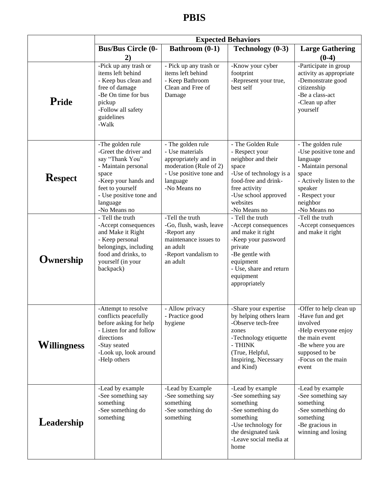# **PBIS**

|                    | <b>Expected Behaviors</b>                                                                                                                                                                       |                                                                                                                                               |                                                                                                                                                                                            |                                                                                                                                                                                                                                              |  |  |  |  |
|--------------------|-------------------------------------------------------------------------------------------------------------------------------------------------------------------------------------------------|-----------------------------------------------------------------------------------------------------------------------------------------------|--------------------------------------------------------------------------------------------------------------------------------------------------------------------------------------------|----------------------------------------------------------------------------------------------------------------------------------------------------------------------------------------------------------------------------------------------|--|--|--|--|
|                    | <b>Bus/Bus Circle (0-</b>                                                                                                                                                                       | <b>Bathroom (0-1)</b>                                                                                                                         | Technology (0-3)                                                                                                                                                                           | <b>Large Gathering</b>                                                                                                                                                                                                                       |  |  |  |  |
| Pride              | 2)<br>-Pick up any trash or<br>items left behind<br>- Keep bus clean and<br>free of damage<br>-Be On time for bus<br>pickup<br>-Follow all safety<br>guidelines<br>-Walk                        | - Pick up any trash or<br>items left behind<br>- Keep Bathroom<br>Clean and Free of<br>Damage                                                 | -Know your cyber<br>footprint<br>-Represent your true,<br>best self                                                                                                                        | $(0-4)$<br>-Participate in group<br>activity as appropriate<br>-Demonstrate good<br>citizenship<br>-Be a class-act<br>-Clean up after<br>yourself                                                                                            |  |  |  |  |
| <b>Respect</b>     | -The golden rule<br>-Greet the driver and<br>say "Thank You"<br>- Maintain personal<br>space<br>-Keep your hands and<br>feet to yourself<br>- Use positive tone and<br>language<br>-No Means no | - The golden rule<br>- Use materials<br>appropriately and in<br>moderation (Rule of 2)<br>- Use positive tone and<br>language<br>-No Means no | - The Golden Rule<br>- Respect your<br>neighbor and their<br>space<br>-Use of technology is a<br>food-free and drink-<br>free activity<br>-Use school approved<br>websites<br>-No Means no | - The golden rule<br>-Use positive tone and<br>language<br>- Maintain personal<br>space<br>- Actively listen to the<br>speaker<br>- Respect your<br>neighbor<br>-No Means no<br>-Tell the truth<br>-Accept consequences<br>and make it right |  |  |  |  |
| <b>Ownership</b>   | - Tell the truth<br>-Accept consequences<br>and Make it Right<br>- Keep personal<br>belongings, including<br>food and drinks, to<br>yourself (in your<br>backpack)                              | -Tell the truth<br>-Go, flush, wash, leave<br>-Report any<br>maintenance issues to<br>an adult<br>-Report vandalism to<br>an adult            | - Tell the truth<br>-Accept consequences<br>and make it right<br>-Keep your password<br>private<br>-Be gentle with<br>equipment<br>- Use, share and return<br>equipment<br>appropriately   |                                                                                                                                                                                                                                              |  |  |  |  |
| <b>Willingness</b> | -Attempt to resolve<br>conflicts peacefully<br>before asking for help<br>- Listen for and follow<br>directions<br>-Stay seated<br>-Look up, look around<br>-Help others                         | - Allow privacy<br>- Practice good<br>hygiene                                                                                                 | -Share your expertise<br>by helping others learn<br>-Observe tech-free<br>zones<br>-Technology etiquette<br>- THINK<br>(True, Helpful,<br>Inspiring, Necessary<br>and Kind)                | -Offer to help clean up<br>-Have fun and get<br>involved<br>-Help everyone enjoy<br>the main event<br>-Be where you are<br>supposed to be<br>-Focus on the main<br>event                                                                     |  |  |  |  |
| Leadership         | -Lead by example<br>-See something say<br>something<br>-See something do<br>something                                                                                                           | -Lead by Example<br>-See something say<br>something<br>-See something do<br>something                                                         | -Lead by example<br>-See something say<br>something<br>-See something do<br>something<br>-Use technology for<br>the designated task<br>-Leave social media at<br>home                      | -Lead by example<br>-See something say<br>something<br>-See something do<br>something<br>-Be gracious in<br>winning and losing                                                                                                               |  |  |  |  |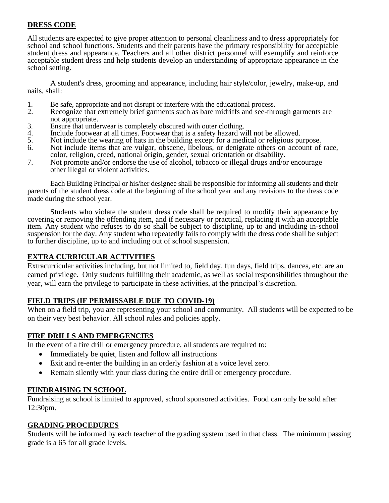#### **DRESS CODE**

All students are expected to give proper attention to personal cleanliness and to dress appropriately for school and school functions. Students and their parents have the primary responsibility for acceptable student dress and appearance. Teachers and all other district personnel will exemplify and reinforce acceptable student dress and help students develop an understanding of appropriate appearance in the school setting.

A student's dress, grooming and appearance, including hair style/color, jewelry, make-up, and nails, shall:

- 1. Be safe, appropriate and not disrupt or interfere with the educational process.<br>2. Recognize that extremely brief garments such as bare midriffs and see-three
- Recognize that extremely brief garments such as bare midriffs and see-through garments are not appropriate.
- 3. Ensure that underwear is completely obscured with outer clothing.<br>4. Include footwear at all times. Footwear that is a safety hazard wi
- 4. Include footwear at all times. Footwear that is a safety hazard will not be allowed.<br>5. Not include the wearing of hats in the building except for a medical or religious pu
- Not include the wearing of hats in the building except for a medical or religious purpose.
- 6. Not include items that are vulgar, obscene, libelous, or denigrate others on account of race, color, religion, creed, national origin, gender, sexual orientation or disability.
- 7. Not promote and/or endorse the use of alcohol, tobacco or illegal drugs and/or encourage other illegal or violent activities.

Each Building Principal or his/her designee shall be responsible for informing all students and their parents of the student dress code at the beginning of the school year and any revisions to the dress code made during the school year.

Students who violate the student dress code shall be required to modify their appearance by covering or removing the offending item, and if necessary or practical, replacing it with an acceptable item. Any student who refuses to do so shall be subject to discipline, up to and including in-school suspension for the day. Any student who repeatedly fails to comply with the dress code shall be subject to further discipline, up to and including out of school suspension.

#### **EXTRA CURRICULAR ACTIVITIES**

Extracurricular activities including, but not limited to, field day, fun days, field trips, dances, etc. are an earned privilege. Only students fulfilling their academic, as well as social responsibilities throughout the year, will earn the privilege to participate in these activities, at the principal's discretion.

#### **FIELD TRIPS (IF PERMISSABLE DUE TO COVID-19)**

When on a field trip, you are representing your school and community. All students will be expected to be on their very best behavior. All school rules and policies apply.

#### **FIRE DRILLS AND EMERGENCIES**

In the event of a fire drill or emergency procedure, all students are required to:

- Immediately be quiet, listen and follow all instructions
- Exit and re-enter the building in an orderly fashion at a voice level zero.
- Remain silently with your class during the entire drill or emergency procedure.

#### **FUNDRAISING IN SCHOOL**

Fundraising at school is limited to approved, school sponsored activities. Food can only be sold after 12:30pm.

#### **GRADING PROCEDURES**

Students will be informed by each teacher of the grading system used in that class. The minimum passing grade is a 65 for all grade levels.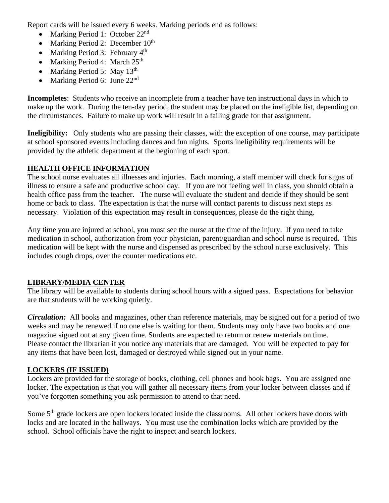Report cards will be issued every 6 weeks. Marking periods end as follows:

- Marking Period 1: October 22<sup>nd</sup>
- Marking Period 2: December  $10^{th}$
- Marking Period 3: February 4<sup>th</sup>
- Marking Period 4: March  $25<sup>th</sup>$
- Marking Period 5: May  $13<sup>th</sup>$
- Marking Period 6: June 22<sup>nd</sup>

**Incompletes**: Students who receive an incomplete from a teacher have ten instructional days in which to make up the work. During the ten-day period, the student may be placed on the ineligible list, depending on the circumstances. Failure to make up work will result in a failing grade for that assignment.

**Ineligibility:** Only students who are passing their classes, with the exception of one course, may participate at school sponsored events including dances and fun nights. Sports ineligibility requirements will be provided by the athletic department at the beginning of each sport.

#### **HEALTH OFFICE INFORMATION**

The school nurse evaluates all illnesses and injuries. Each morning, a staff member will check for signs of illness to ensure a safe and productive school day. If you are not feeling well in class, you should obtain a health office pass from the teacher. The nurse will evaluate the student and decide if they should be sent home or back to class. The expectation is that the nurse will contact parents to discuss next steps as necessary. Violation of this expectation may result in consequences, please do the right thing.

Any time you are injured at school, you must see the nurse at the time of the injury. If you need to take medication in school, authorization from your physician, parent/guardian and school nurse is required. This medication will be kept with the nurse and dispensed as prescribed by the school nurse exclusively. This includes cough drops, over the counter medications etc.

#### **LIBRARY/MEDIA CENTER**

The library will be available to students during school hours with a signed pass. Expectations for behavior are that students will be working quietly.

*Circulation:* All books and magazines, other than reference materials, may be signed out for a period of two weeks and may be renewed if no one else is waiting for them. Students may only have two books and one magazine signed out at any given time. Students are expected to return or renew materials on time. Please contact the librarian if you notice any materials that are damaged. You will be expected to pay for any items that have been lost, damaged or destroyed while signed out in your name.

#### **LOCKERS (IF ISSUED)**

Lockers are provided for the storage of books, clothing, cell phones and book bags. You are assigned one locker. The expectation is that you will gather all necessary items from your locker between classes and if you've forgotten something you ask permission to attend to that need.

Some 5<sup>th</sup> grade lockers are open lockers located inside the classrooms. All other lockers have doors with locks and are located in the hallways. You must use the combination locks which are provided by the school. School officials have the right to inspect and search lockers.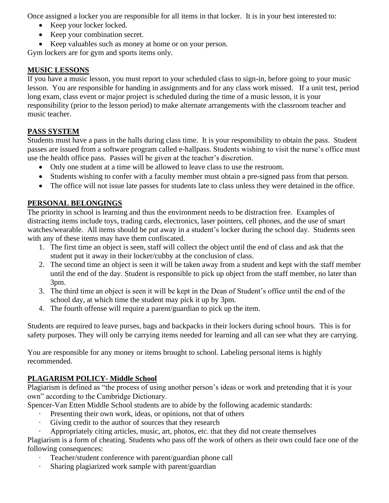Once assigned a locker you are responsible for all items in that locker. It is in your best interested to:

- Keep your locker locked.
- Keep your combination secret.
- Keep valuables such as money at home or on your person.

Gym lockers are for gym and sports items only.

#### **MUSIC LESSONS**

If you have a music lesson, you must report to your scheduled class to sign-in, before going to your music lesson. You are responsible for handing in assignments and for any class work missed. If a unit test, period long exam, class event or major project is scheduled during the time of a music lesson, it is your responsibility (prior to the lesson period) to make alternate arrangements with the classroom teacher and music teacher.

#### **PASS SYSTEM**

Students must have a pass in the halls during class time. It is your responsibility to obtain the pass. Student passes are issued from a software program called e-hallpass. Students wishing to visit the nurse's office must use the health office pass. Passes will be given at the teacher's discretion.

- Only one student at a time will be allowed to leave class to use the restroom.
- Students wishing to confer with a faculty member must obtain a pre-signed pass from that person.
- The office will not issue late passes for students late to class unless they were detained in the office.

#### **PERSONAL BELONGINGS**

The priority in school is learning and thus the environment needs to be distraction free. Examples of distracting items include toys, trading cards, electronics, laser pointers, cell phones, and the use of smart watches/wearable. All items should be put away in a student's locker during the school day. Students seen with any of these items may have them confiscated.

- 1. The first time an object is seen, staff will collect the object until the end of class and ask that the student put it away in their locker/cubby at the conclusion of class.
- 2. The second time an object is seen it will be taken away from a student and kept with the staff member until the end of the day. Student is responsible to pick up object from the staff member, no later than 3pm.
- 3. The third time an object is seen it will be kept in the Dean of Student's office until the end of the school day, at which time the student may pick it up by 3pm.
- 4. The fourth offense will require a parent/guardian to pick up the item.

Students are required to leave purses, bags and backpacks in their lockers during school hours. This is for safety purposes. They will only be carrying items needed for learning and all can see what they are carrying.

You are responsible for any money or items brought to school. Labeling personal items is highly recommended.

#### **PLAGARISM POLICY- Middle School**

Plagiarism is defined as "the process of using another person's ideas or work and pretending that it is your own" according to the Cambridge Dictionary.

Spencer-Van Etten Middle School students are to abide by the following academic standards:

- · Presenting their own work, ideas, or opinions, not that of others
- Giving credit to the author of sources that they research
- · Appropriately citing articles, music, art, photos, etc. that they did not create themselves

Plagiarism is a form of cheating. Students who pass off the work of others as their own could face one of the following consequences:

- · Teacher/student conference with parent/guardian phone call
- · Sharing plagiarized work sample with parent/guardian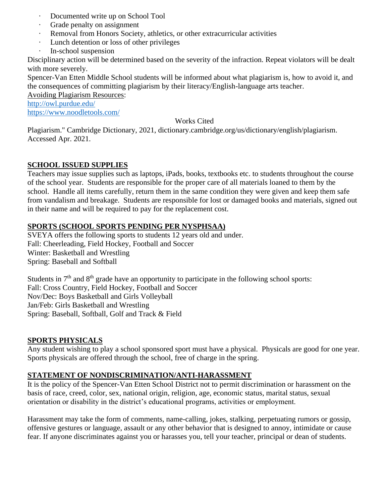- · Documented write up on School Tool
- · Grade penalty on assignment
- · Removal from Honors Society, athletics, or other extracurricular activities
- · Lunch detention or loss of other privileges
- · In-school suspension

Disciplinary action will be determined based on the severity of the infraction. Repeat violators will be dealt with more severely.

Spencer-Van Etten Middle School students will be informed about what plagiarism is, how to avoid it, and the consequences of committing plagiarism by their literacy/English-language arts teacher.

Avoiding Plagiarism Resources:

<http://owl.purdue.edu/> <https://www.noodletools.com/>

#### Works Cited

Plagiarism." Cambridge Dictionary, 2021, dictionary.cambridge.org/us/dictionary/english/plagiarism. Accessed Apr. 2021.

#### **SCHOOL ISSUED SUPPLIES**

Teachers may issue supplies such as laptops, iPads, books, textbooks etc. to students throughout the course of the school year. Students are responsible for the proper care of all materials loaned to them by the school. Handle all items carefully, return them in the same condition they were given and keep them safe from vandalism and breakage. Students are responsible for lost or damaged books and materials, signed out in their name and will be required to pay for the replacement cost.

#### **SPORTS (SCHOOL SPORTS PENDING PER NYSPHSAA)**

SVEYA offers the following sports to students 12 years old and under. Fall: Cheerleading, Field Hockey, Football and Soccer Winter: Basketball and Wrestling Spring: Baseball and Softball

Students in  $7<sup>th</sup>$  and  $8<sup>th</sup>$  grade have an opportunity to participate in the following school sports: Fall: Cross Country, Field Hockey, Football and Soccer Nov/Dec: Boys Basketball and Girls Volleyball Jan/Feb: Girls Basketball and Wrestling Spring: Baseball, Softball, Golf and Track & Field

#### **SPORTS PHYSICALS**

Any student wishing to play a school sponsored sport must have a physical. Physicals are good for one year. Sports physicals are offered through the school, free of charge in the spring.

#### **STATEMENT OF NONDISCRIMINATION/ANTI-HARASSMENT**

It is the policy of the Spencer-Van Etten School District not to permit discrimination or harassment on the basis of race, creed, color, sex, national origin, religion, age, economic status, marital status, sexual orientation or disability in the district's educational programs, activities or employment.

Harassment may take the form of comments, name-calling, jokes, stalking, perpetuating rumors or gossip, offensive gestures or language, assault or any other behavior that is designed to annoy, intimidate or cause fear. If anyone discriminates against you or harasses you, tell your teacher, principal or dean of students.